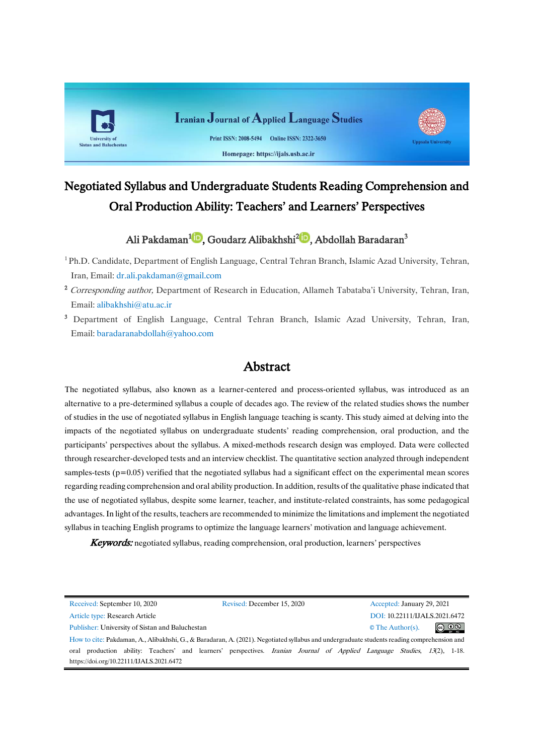

# Negotiated Syllabus and Undergraduate Students Reading Comprehension and Oral Production Ability: Teachers' and Learners' Perspectives

# Ali Pakdaman<sup>1</sup>D[,](https://orcid.org/0000-0003-4093-6711) Goudarz Alibakhshi<sup>2</sup>D[,](https://orcid.org/0000-0003-0916-8662) Abdollah Baradaran<sup>3</sup>

<sup>1</sup>Ph.D. Candidate, Department of English Language, Central Tehran Branch, Islamic Azad University, Tehran, Iran, Email: [dr.ali.pakdaman@gmail.com](javascript:top.openWin()

- <sup>2</sup> Corresponding author, Department of Research in Education, Allameh Tabataba'i University, Tehran, Iran, Email: [alibakhshi@atu.ac.ir](javascript:top.openWin()
- <sup>3</sup> Department of English Language, Central Tehran Branch, Islamic Azad University, Tehran, Iran, Email: [baradaranabdollah@yahoo.com](javascript:top.openWin()

# Abstract

The negotiated syllabus, also known as a learner-centered and process-oriented syllabus, was introduced as an alternative to a pre-determined syllabus a couple of decades ago. The review of the related studies shows the number of studies in the use of negotiated syllabus in English language teaching is scanty. This study aimed at delving into the impacts of the negotiated syllabus on undergraduate students' reading comprehension, oral production, and the participants' perspectives about the syllabus. A mixed-methods research design was employed. Data were collected through researcher-developed tests and an interview checklist. The quantitative section analyzed through independent samples-tests (p=0.05) verified that the negotiated syllabus had a significant effect on the experimental mean scores regarding reading comprehension and oral ability production. In addition, results of the qualitative phase indicated that the use of negotiated syllabus, despite some learner, teacher, and institute-related constraints, has some pedagogical advantages. In light of the results, teachers are recommended to minimize the limitations and implement the negotiated syllabus in teaching English programs to optimize the language learners' motivation and language achievement.

Keywords: negotiated syllabus, reading comprehension, oral production, learners' perspectives

| Received: September 10, 2020                                                                                                                | Revised: December 15, 2020               | Accepted: January 29, 2021                                                                                                  |  |  |  |  |
|---------------------------------------------------------------------------------------------------------------------------------------------|------------------------------------------|-----------------------------------------------------------------------------------------------------------------------------|--|--|--|--|
| Article type: Research Article                                                                                                              |                                          | DOI: 10.22111/IJALS.2021.6472                                                                                               |  |  |  |  |
| Publisher: University of Sistan and Baluchestan                                                                                             | $\circledcirc$<br>$\circ$ The Author(s). |                                                                                                                             |  |  |  |  |
| How to cite: Pakdaman, A., Alibakhshi, G., & Baradaran, A. (2021). Negotiated syllabus and undergraduate students reading comprehension and |                                          |                                                                                                                             |  |  |  |  |
| oral                                                                                                                                        |                                          | production ability: Teachers' and learners' perspectives. <i>Iranian Journal of Applied Language Studies</i> , 13(2), 1-18. |  |  |  |  |
| https://doi.org/10.22111/IJALS.2021.6472                                                                                                    |                                          |                                                                                                                             |  |  |  |  |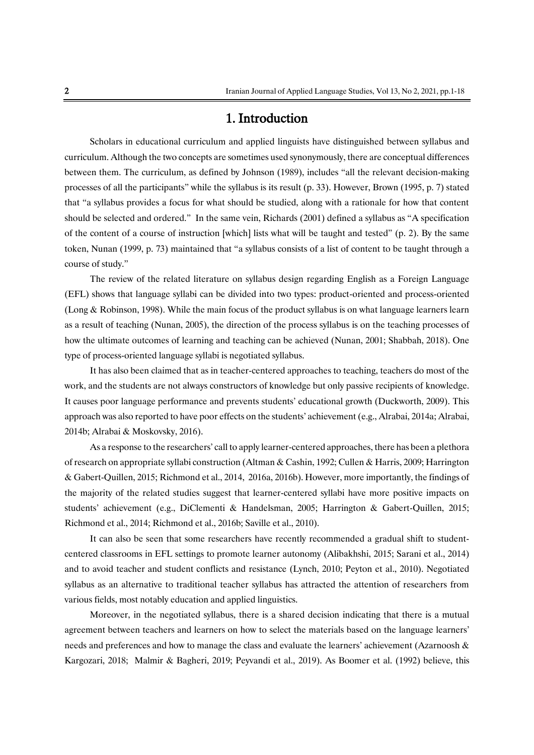# 1. Introduction

Scholars in educational curriculum and applied linguists have distinguished between syllabus and curriculum. Although the two concepts are sometimes used synonymously, there are conceptual differences between them. The curriculum, as defined by Johnson (1989), includes "all the relevant decision-making processes of all the participants" while the syllabus is its result (p. 33). However, Brown (1995, p. 7) stated that "a syllabus provides a focus for what should be studied, along with a rationale for how that content should be selected and ordered." In the same vein, Richards (2001) defined a syllabus as "A specification of the content of a course of instruction [which] lists what will be taught and tested" (p. 2). By the same token, Nunan (1999, p. 73) maintained that "a syllabus consists of a list of content to be taught through a course of study."

The review of the related literature on syllabus design regarding English as a Foreign Language (EFL) shows that language syllabi can be divided into two types: product-oriented and process-oriented (Long & Robinson, 1998). While the main focus of the product syllabus is on what language learners learn as a result of teaching (Nunan, 2005), the direction of the process syllabus is on the teaching processes of how the ultimate outcomes of learning and teaching can be achieved (Nunan, 2001; Shabbah, 2018). One type of process-oriented language syllabi is negotiated syllabus.

It has also been claimed that as in teacher-centered approaches to teaching, teachers do most of the work, and the students are not always constructors of knowledge but only passive recipients of knowledge. It causes poor language performance and prevents students' educational growth (Duckworth, 2009). This approach was also reported to have poor effects on the students' achievement (e.g., Alrabai, 2014a; Alrabai, 2014b; Alrabai & Moskovsky, 2016).

As a response to the researchers' call to apply learner-centered approaches, there has been a plethora of research on appropriate syllabi construction (Altman & Cashin, 1992; Cullen & Harris, 2009; Harrington & Gabert-Quillen, 2015; Richmond et al., 2014, 2016a, 2016b). However, more importantly, the findings of the majority of the related studies suggest that learner-centered syllabi have more positive impacts on students' achievement (e.g., DiClementi & Handelsman, 2005; Harrington & Gabert-Quillen, 2015; Richmond et al., 2014; Richmond et al., 2016b; Saville et al., 2010).

It can also be seen that some researchers have recently recommended a gradual shift to studentcentered classrooms in EFL settings to promote learner autonomy (Alibakhshi, 2015; Sarani et al., 2014) and to avoid teacher and student conflicts and resistance (Lynch, 2010; Peyton et al., 2010). Negotiated syllabus as an alternative to traditional teacher syllabus has attracted the attention of researchers from various fields, most notably education and applied linguistics.

Moreover, in the negotiated syllabus, there is a shared decision indicating that there is a mutual agreement between teachers and learners on how to select the materials based on the language learners' needs and preferences and how to manage the class and evaluate the learners' achievement (Azarnoosh & Kargozari, 2018; Malmir & Bagheri, 2019; Peyvandi et al., 2019). As Boomer et al. (1992) believe, this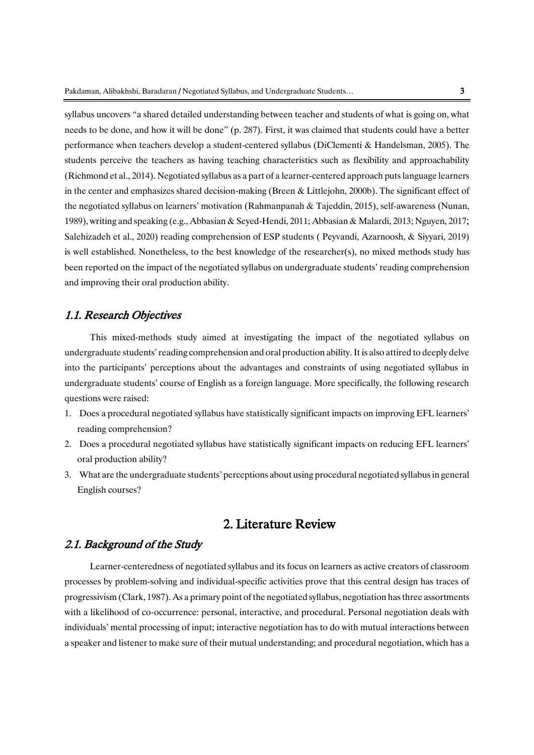syllabus uncovers "a shared detailed understanding between teacher and students of what is going on, what needs to be done, and how it will be done" (p. 287). First, it was claimed that students could have a better performance when teachers develop a student-centered syllabus (DiClementi & Handelsman, 2005). The students perceive the teachers as having teaching characteristics such as flexibility and approachability (Richmond et al., 2014). Negotiated syllabus as a part of a learner-centered approach puts language learners in the center and emphasizes shared decision-making (Breen & Littlejohn, 2000b). The significant effect of the negotiated syllabus on learners' motivation (Rahmanpanah & Tajeddin, 2015), self-awareness (Nunan, 1989), writing and speaking (e.g., Abbasian & Seyed-Hendi, 2011; Abbasian & Malardi, 2013; Nguyen, 2017; Salehizadeh et al., 2020) reading comprehension of ESP students ( Peyvandi, Azarnoosh, & Siyyari, 2019) is well established. Nonetheless, to the best knowledge of the researcher(s), no mixed methods study has been reported on the impact of the negotiated syllabus on undergraduate students' reading comprehension and improving their oral production ability.

## 1.1. Research Objectives

This mixed-methods study aimed at investigating the impact of the negotiated syllabus on undergraduate students'reading comprehension and oral production ability. It is also attired to deeply delve into the participants' perceptions about the advantages and constraints of using negotiated syllabus in undergraduate students' course of English as a foreign language. More specifically, the following research questions were raised:

- 1. Does a procedural negotiated syllabus have statistically significant impacts on improving EFL learners' reading comprehension?
- 2. Does a procedural negotiated syllabus have statistically significant impacts on reducing EFL learners' oral production ability?
- 3. What are the undergraduate students' perceptions about using procedural negotiated syllabus in general English courses?

# 2. Literature Review

# 2.1. Background of the Study

Learner-centeredness of negotiated syllabus and its focus on learners as active creators of classroom processes by problem-solving and individual-specific activities prove that this central design has traces of progressivism (Clark, 1987). As a primary point of the negotiated syllabus, negotiation has three assortments with a likelihood of co-occurrence: personal, interactive, and procedural. Personal negotiation deals with individuals' mental processing of input; interactive negotiation has to do with mutual interactions between a speaker and listener to make sure of their mutual understanding; and procedural negotiation, which has a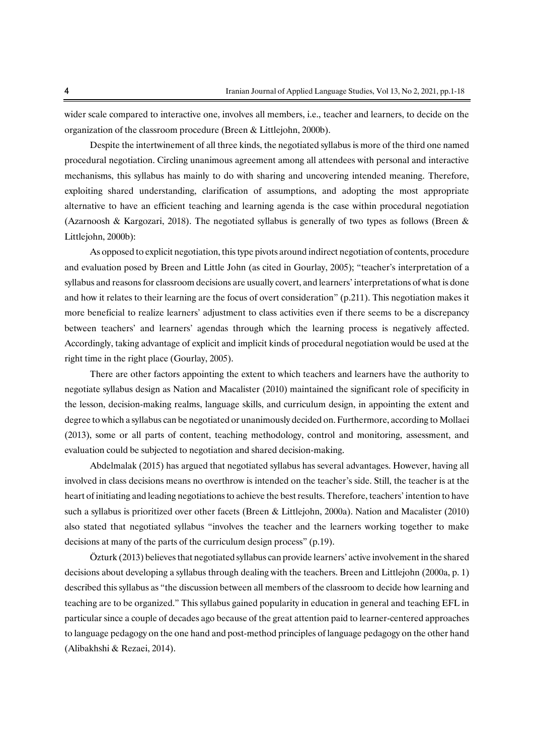wider scale compared to interactive one, involves all members, i.e., teacher and learners, to decide on the organization of the classroom procedure (Breen & Littlejohn, 2000b).

Despite the intertwinement of all three kinds, the negotiated syllabus is more of the third one named procedural negotiation. Circling unanimous agreement among all attendees with personal and interactive mechanisms, this syllabus has mainly to do with sharing and uncovering intended meaning. Therefore, exploiting shared understanding, clarification of assumptions, and adopting the most appropriate alternative to have an efficient teaching and learning agenda is the case within procedural negotiation (Azarnoosh & Kargozari, 2018). The negotiated syllabus is generally of two types as follows (Breen & Littlejohn, 2000b):

As opposed to explicit negotiation, this type pivots around indirect negotiation of contents, procedure and evaluation posed by Breen and Little John (as cited in Gourlay, 2005); "teacher's interpretation of a syllabus and reasons for classroom decisions are usually covert, and learners' interpretations of what is done and how it relates to their learning are the focus of overt consideration" (p.211). This negotiation makes it more beneficial to realize learners' adjustment to class activities even if there seems to be a discrepancy between teachers' and learners' agendas through which the learning process is negatively affected. Accordingly, taking advantage of explicit and implicit kinds of procedural negotiation would be used at the right time in the right place (Gourlay, 2005).

There are other factors appointing the extent to which teachers and learners have the authority to negotiate syllabus design as Nation and Macalister (2010) maintained the significant role of specificity in the lesson, decision-making realms, language skills, and curriculum design, in appointing the extent and degree to which a syllabus can be negotiated or unanimously decided on. Furthermore, according to Mollaei (2013), some or all parts of content, teaching methodology, control and monitoring, assessment, and evaluation could be subjected to negotiation and shared decision-making.

Abdelmalak (2015) has argued that negotiated syllabus has several advantages. However, having all involved in class decisions means no overthrow is intended on the teacher's side. Still, the teacher is at the heart of initiating and leading negotiations to achieve the best results. Therefore, teachers' intention to have such a syllabus is prioritized over other facets (Breen & Littlejohn, 2000a). Nation and Macalister (2010) also stated that negotiated syllabus "involves the teacher and the learners working together to make decisions at many of the parts of the curriculum design process" (p.19).

Özturk (2013) believes that negotiated syllabus can provide learners' active involvement in the shared decisions about developing a syllabus through dealing with the teachers. Breen and Littlejohn (2000a, p. 1) described this syllabus as "the discussion between all members of the classroom to decide how learning and teaching are to be organized." This syllabus gained popularity in education in general and teaching EFL in particular since a couple of decades ago because of the great attention paid to learner-centered approaches to language pedagogy on the one hand and post-method principles of language pedagogy on the other hand (Alibakhshi & Rezaei, 2014).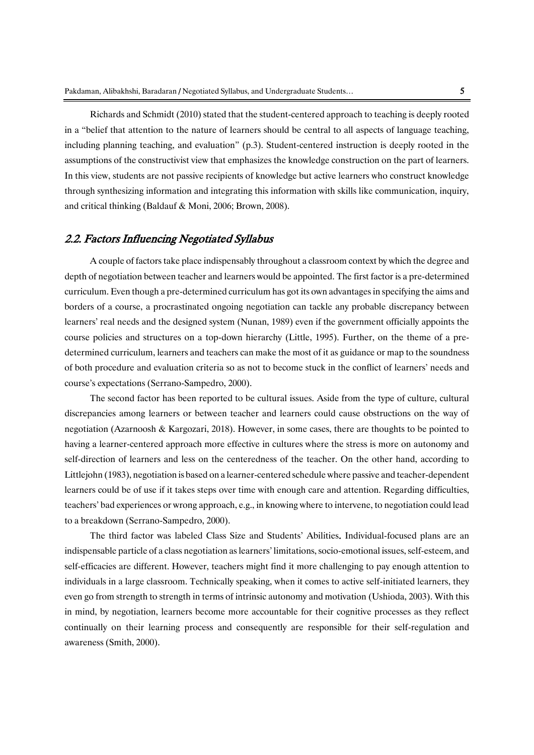Richards and Schmidt (2010) stated that the student-centered approach to teaching is deeply rooted in a "belief that attention to the nature of learners should be central to all aspects of language teaching, including planning teaching, and evaluation" (p.3). Student-centered instruction is deeply rooted in the assumptions of the constructivist view that emphasizes the knowledge construction on the part of learners. In this view, students are not passive recipients of knowledge but active learners who construct knowledge through synthesizing information and integrating this information with skills like communication, inquiry, and critical thinking (Baldauf & Moni, 2006; Brown, 2008).

## 2.2. Factors Influencing Negotiated Syllabus

A couple of factors take place indispensably throughout a classroom context by which the degree and depth of negotiation between teacher and learners would be appointed. The first factor is a pre-determined curriculum. Even though a pre-determined curriculum has got its own advantages in specifying the aims and borders of a course, a procrastinated ongoing negotiation can tackle any probable discrepancy between learners' real needs and the designed system (Nunan, 1989) even if the government officially appoints the course policies and structures on a top-down hierarchy (Little, 1995). Further, on the theme of a predetermined curriculum, learners and teachers can make the most of it as guidance or map to the soundness of both procedure and evaluation criteria so as not to become stuck in the conflict of learners' needs and course's expectations (Serrano-Sampedro, 2000).

The second factor has been reported to be cultural issues. Aside from the type of culture, cultural discrepancies among learners or between teacher and learners could cause obstructions on the way of negotiation (Azarnoosh & Kargozari, 2018). However, in some cases, there are thoughts to be pointed to having a learner-centered approach more effective in cultures where the stress is more on autonomy and self-direction of learners and less on the centeredness of the teacher. On the other hand, according to Littlejohn (1983), negotiation is based on a learner-centered schedule where passive and teacher-dependent learners could be of use if it takes steps over time with enough care and attention. Regarding difficulties, teachers' bad experiences or wrong approach, e.g., in knowing where to intervene, to negotiation could lead to a breakdown (Serrano-Sampedro, 2000).

The third factor was labeled Class Size and Students' Abilities. Individual-focused plans are an indispensable particle of a class negotiation as learners' limitations, socio-emotional issues, self-esteem, and self-efficacies are different. However, teachers might find it more challenging to pay enough attention to individuals in a large classroom. Technically speaking, when it comes to active self-initiated learners, they even go from strength to strength in terms of intrinsic autonomy and motivation (Ushioda, 2003). With this in mind, by negotiation, learners become more accountable for their cognitive processes as they reflect continually on their learning process and consequently are responsible for their self-regulation and awareness (Smith, 2000).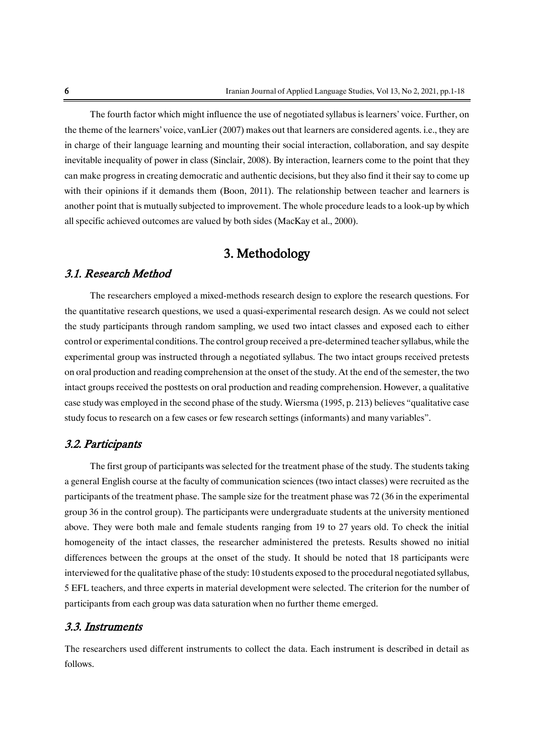The fourth factor which might influence the use of negotiated syllabus is learners' voice. Further, on the theme of the learners' voice, vanLier (2007) makes out that learners are considered agents. i.e., they are in charge of their language learning and mounting their social interaction, collaboration, and say despite inevitable inequality of power in class (Sinclair, 2008). By interaction, learners come to the point that they can make progress in creating democratic and authentic decisions, but they also find it their say to come up with their opinions if it demands them (Boon, 2011). The relationship between teacher and learners is another point that is mutually subjected to improvement. The whole procedure leads to a look-up by which all specific achieved outcomes are valued by both sides (MacKay et al., 2000).

# 3. Methodology

# 3.1. Research Method

The researchers employed a mixed-methods research design to explore the research questions. For the quantitative research questions, we used a quasi-experimental research design. As we could not select the study participants through random sampling, we used two intact classes and exposed each to either control or experimental conditions. The control group received a pre-determined teacher syllabus, while the experimental group was instructed through a negotiated syllabus. The two intact groups received pretests on oral production and reading comprehension at the onset of the study. At the end of the semester, the two intact groups received the posttests on oral production and reading comprehension. However, a qualitative case study was employed in the second phase of the study. Wiersma (1995, p. 213) believes "qualitative case study focus to research on a few cases or few research settings (informants) and many variables".

## 3.2. Participants

The first group of participants was selected for the treatment phase of the study. The students taking a general English course at the faculty of communication sciences (two intact classes) were recruited as the participants of the treatment phase. The sample size for the treatment phase was 72 (36 in the experimental group 36 in the control group). The participants were undergraduate students at the university mentioned above. They were both male and female students ranging from 19 to 27 years old. To check the initial homogeneity of the intact classes, the researcher administered the pretests. Results showed no initial differences between the groups at the onset of the study. It should be noted that 18 participants were interviewed for the qualitative phase of the study: 10 students exposed to the procedural negotiated syllabus, 5 EFL teachers, and three experts in material development were selected. The criterion for the number of participants from each group was data saturation when no further theme emerged.

### 3.3. Instruments

The researchers used different instruments to collect the data. Each instrument is described in detail as follows.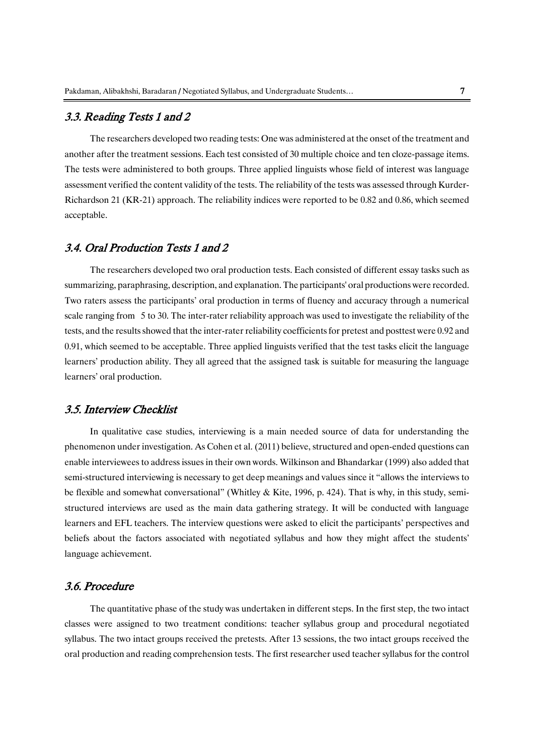# 3.3. Reading Tests 1 and 2

The researchers developed two reading tests: One was administered at the onset of the treatment and another after the treatment sessions. Each test consisted of 30 multiple choice and ten cloze-passage items. The tests were administered to both groups. Three applied linguists whose field of interest was language assessment verified the content validity of the tests. The reliability of the tests was assessed through Kurder-Richardson 21 (KR-21) approach. The reliability indices were reported to be 0.82 and 0.86, which seemed acceptable.

# 3.4. Oral Production Tests 1 and 2

The researchers developed two oral production tests. Each consisted of different essay tasks such as summarizing, paraphrasing, description, and explanation. The participants' oral productions were recorded. Two raters assess the participants' oral production in terms of fluency and accuracy through a numerical scale ranging from 5 to 30. The inter-rater reliability approach was used to investigate the reliability of the tests, and the results showed that the inter-rater reliability coefficients for pretest and posttest were 0.92 and 0.91, which seemed to be acceptable. Three applied linguists verified that the test tasks elicit the language learners' production ability. They all agreed that the assigned task is suitable for measuring the language learners' oral production.

## 3.5. Interview Checklist

In qualitative case studies, interviewing is a main needed source of data for understanding the phenomenon under investigation. As Cohen et al. (2011) believe, structured and open-ended questions can enable interviewees to address issues in their own words. Wilkinson and Bhandarkar (1999) also added that semi-structured interviewing is necessary to get deep meanings and values since it "allows the interviews to be flexible and somewhat conversational" (Whitley & Kite, 1996, p. 424). That is why, in this study, semistructured interviews are used as the main data gathering strategy. It will be conducted with language learners and EFL teachers. The interview questions were asked to elicit the participants' perspectives and beliefs about the factors associated with negotiated syllabus and how they might affect the students' language achievement.

# 3.6. Procedure

The quantitative phase of the study was undertaken in different steps. In the first step, the two intact classes were assigned to two treatment conditions: teacher syllabus group and procedural negotiated syllabus. The two intact groups received the pretests. After 13 sessions, the two intact groups received the oral production and reading comprehension tests. The first researcher used teacher syllabus for the control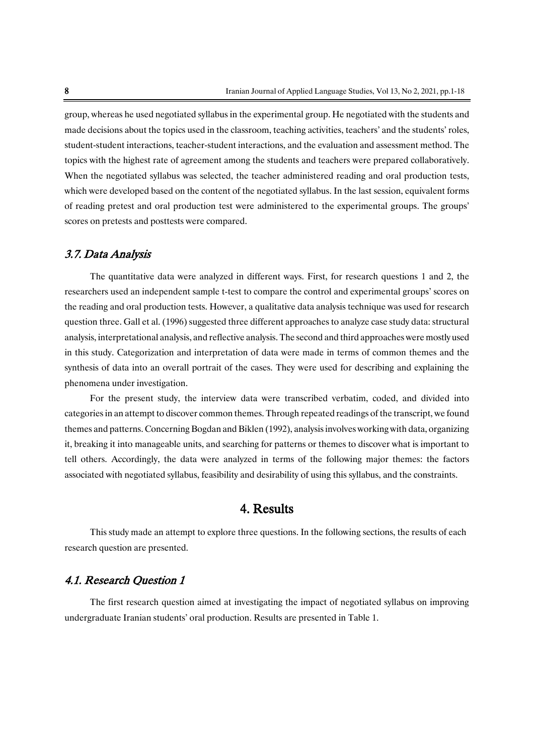group, whereas he used negotiated syllabus in the experimental group. He negotiated with the students and made decisions about the topics used in the classroom, teaching activities, teachers' and the students' roles, student-student interactions, teacher-student interactions, and the evaluation and assessment method. The topics with the highest rate of agreement among the students and teachers were prepared collaboratively. When the negotiated syllabus was selected, the teacher administered reading and oral production tests, which were developed based on the content of the negotiated syllabus. In the last session, equivalent forms of reading pretest and oral production test were administered to the experimental groups. The groups' scores on pretests and posttests were compared.

## 3.7. Data Analysis

The quantitative data were analyzed in different ways. First, for research questions 1 and 2, the researchers used an independent sample t-test to compare the control and experimental groups' scores on the reading and oral production tests. However, a qualitative data analysis technique was used for research question three. Gall et al. (1996) suggested three different approaches to analyze case study data: structural analysis, interpretational analysis, and reflective analysis. The second and third approaches were mostly used in this study. Categorization and interpretation of data were made in terms of common themes and the synthesis of data into an overall portrait of the cases. They were used for describing and explaining the phenomena under investigation.

For the present study, the interview data were transcribed verbatim, coded, and divided into categories in an attempt to discover common themes. Through repeated readings of the transcript, we found themes and patterns. Concerning Bogdan and Biklen (1992), analysis involves working with data, organizing it, breaking it into manageable units, and searching for patterns or themes to discover what is important to tell others. Accordingly, the data were analyzed in terms of the following major themes: the factors associated with negotiated syllabus, feasibility and desirability of using this syllabus, and the constraints.

# 4. Results

This study made an attempt to explore three questions. In the following sections, the results of each research question are presented.

# 4.1. Research Question 1

The first research question aimed at investigating the impact of negotiated syllabus on improving undergraduate Iranian students' oral production. Results are presented in Table 1.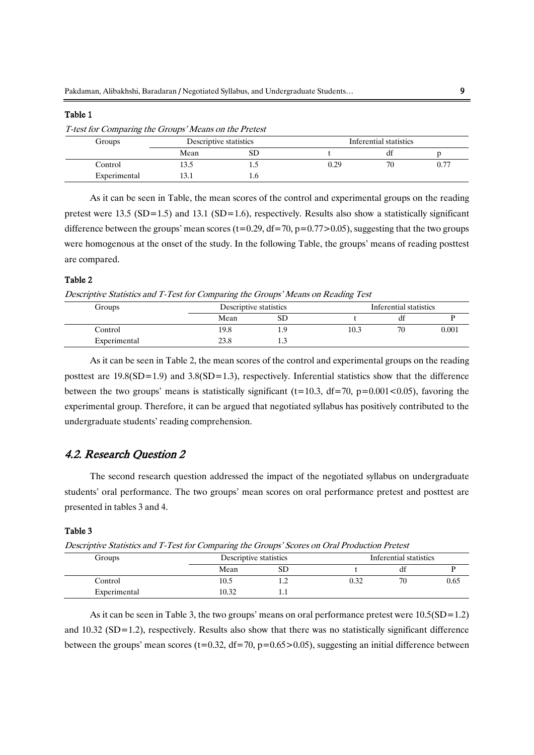#### Table 1

T-test for Comparing the Groups' Means on the Pretest

| Groups       | Descriptive statistics |     | Inferential statistics |    |      |
|--------------|------------------------|-----|------------------------|----|------|
|              | Mean                   | ىن  |                        | αı |      |
| Control      | $\sim$<br>19.J         | سيد | 0.29                   | 70 | 0.77 |
| Experimental | $\sim$                 |     |                        |    |      |

As it can be seen in Table, the mean scores of the control and experimental groups on the reading pretest were 13.5 (SD=1.5) and 13.1 (SD=1.6), respectively. Results also show a statistically significant difference between the groups' mean scores (t=0.29, df=70, p=0.77>0.05), suggesting that the two groups were homogenous at the onset of the study. In the following Table, the groups' means of reading posttest are compared.

### Table 2

Descriptive Statistics and T-Test for Comparing the Groups' Means on Reading Test

| Groups       |      | Descriptive statistics |      | Inferential statistics |       |
|--------------|------|------------------------|------|------------------------|-------|
|              | Mean | $_{\rm SD}$            |      | ai                     |       |
| Control      | 19.8 | 1.9                    | 10.3 | 70                     | 0.001 |
| Experimental | 23.8 | 1.                     |      |                        |       |

As it can be seen in Table 2, the mean scores of the control and experimental groups on the reading posttest are  $19.8(SD=1.9)$  and  $3.8(SD=1.3)$ , respectively. Inferential statistics show that the difference between the two groups' means is statistically significant (t=10.3, df=70, p=0.001<0.05), favoring the experimental group. Therefore, it can be argued that negotiated syllabus has positively contributed to the undergraduate students' reading comprehension.

## 4.2. Research Question 2

The second research question addressed the impact of the negotiated syllabus on undergraduate students' oral performance. The two groups' mean scores on oral performance pretest and posttest are presented in tables 3 and 4.

#### Table 3

Descriptive Statistics and T-Test for Comparing the Groups' Scores on Oral Production Pretest

| Groups       | Descriptive statistics |    | Inferential statistics |    |      |
|--------------|------------------------|----|------------------------|----|------|
|              | Mean                   | SD |                        | di |      |
| Control      | 10.5                   |    | 0.32                   | 70 | 0.65 |
| Experimental | 10.32                  | .  |                        |    |      |

As it can be seen in Table 3, the two groups' means on oral performance pretest were 10.5(SD=1.2) and 10.32 (SD=1.2), respectively. Results also show that there was no statistically significant difference between the groups' mean scores (t=0.32, df=70, p=0.65>0.05), suggesting an initial difference between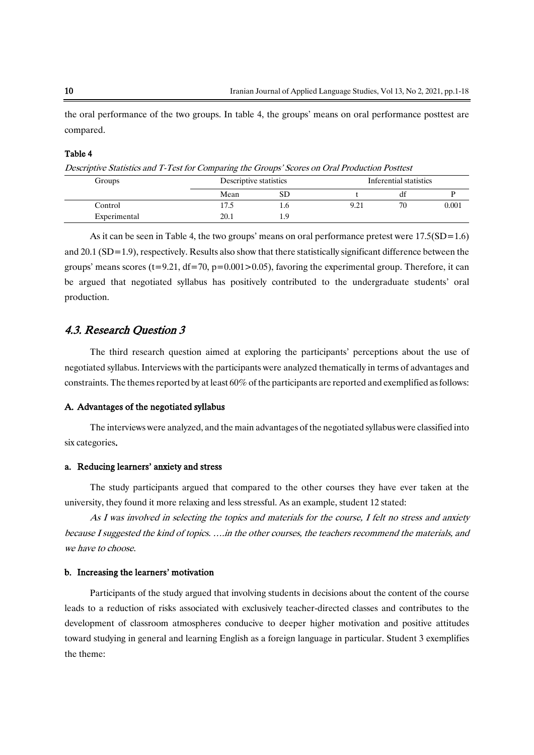the oral performance of the two groups. In table 4, the groups' means on oral performance posttest are compared.

#### Table 4

Descriptive Statistics and T-Test for Comparing the Groups' Scores on Oral Production Posttest

| Groups       |      | Descriptive statistics |      | Inferential statistics |       |
|--------------|------|------------------------|------|------------------------|-------|
|              | Mean | SD                     |      | αt                     |       |
| Control      | l7.5 | 1.C                    | 9.21 | 70                     | 0.001 |
| Experimental | 20.1 | 1.9                    |      |                        |       |

As it can be seen in Table 4, the two groups' means on oral performance pretest were  $17.5(SD=1.6)$ and 20.1 (SD=1.9), respectively. Results also show that there statistically significant difference between the groups' means scores (t=9.21, df=70, p=0.001>0.05), favoring the experimental group. Therefore, it can be argued that negotiated syllabus has positively contributed to the undergraduate students' oral production.

# 4.3. Research Question 3

The third research question aimed at exploring the participants' perceptions about the use of negotiated syllabus. Interviews with the participants were analyzed thematically in terms of advantages and constraints. The themes reported by at least 60% of the participants are reported and exemplified as follows:

#### A. Advantages of the negotiated syllabus

The interviews were analyzed, and the main advantages of the negotiated syllabus were classified into six categories.

#### a. Reducing learners' anxiety and stress

The study participants argued that compared to the other courses they have ever taken at the university, they found it more relaxing and less stressful. As an example, student 12 stated:

As I was involved in selecting the topics and materials for the course, I felt no stress and anxiety because I suggested the kind of topics. ….in the other courses, the teachers recommend the materials, and we have to choose.

#### b. Increasing the learners' motivation

Participants of the study argued that involving students in decisions about the content of the course leads to a reduction of risks associated with exclusively teacher-directed classes and contributes to the development of classroom atmospheres conducive to deeper higher motivation and positive attitudes toward studying in general and learning English as a foreign language in particular. Student 3 exemplifies the theme: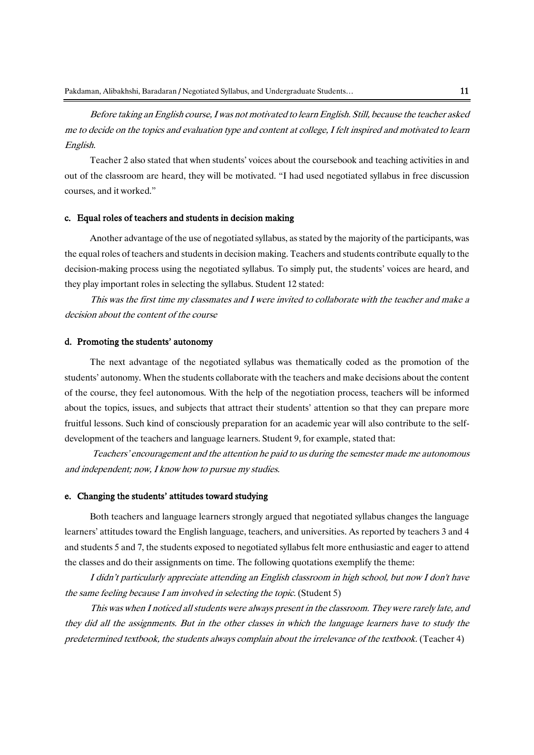Before taking an English course, I was not motivated to learn English. Still, because the teacher asked me to decide on the topics and evaluation type and content at college, I felt inspired and motivated to learn English.

Teacher 2 also stated that when students' voices about the coursebook and teaching activities in and out of the classroom are heard, they will be motivated. "I had used negotiated syllabus in free discussion courses, and it worked."

#### c. Equal roles of teachers and students in decision making

Another advantage of the use of negotiated syllabus, as stated by the majority of the participants, was the equal roles of teachers and students in decision making. Teachers and students contribute equally to the decision-making process using the negotiated syllabus. To simply put, the students' voices are heard, and they play important roles in selecting the syllabus. Student 12 stated:

This was the first time my classmates and I were invited to collaborate with the teacher and make a decision about the content of the course

#### d. Promoting the students' autonomy

The next advantage of the negotiated syllabus was thematically coded as the promotion of the students' autonomy. When the students collaborate with the teachers and make decisions about the content of the course, they feel autonomous. With the help of the negotiation process, teachers will be informed about the topics, issues, and subjects that attract their students' attention so that they can prepare more fruitful lessons. Such kind of consciously preparation for an academic year will also contribute to the selfdevelopment of the teachers and language learners. Student 9, for example, stated that:

Teachers' encouragement and the attention he paid to us during the semester made me autonomous and independent; now, I know how to pursue my studies.

#### e. Changing the students' attitudes toward studying

Both teachers and language learners strongly argued that negotiated syllabus changes the language learners' attitudes toward the English language, teachers, and universities. As reported by teachers 3 and 4 and students 5 and 7, the students exposed to negotiated syllabus felt more enthusiastic and eager to attend the classes and do their assignments on time. The following quotations exemplify the theme:

I didn't particularly appreciate attending an English classroom in high school, but now I don't have the same feeling because I am involved in selecting the topic. (Student 5)

This was when I noticed all students were always present in the classroom. They were rarely late, and they did all the assignments. But in the other classes in which the language learners have to study the predetermined textbook, the students always complain about the irrelevance of the textbook. (Teacher 4)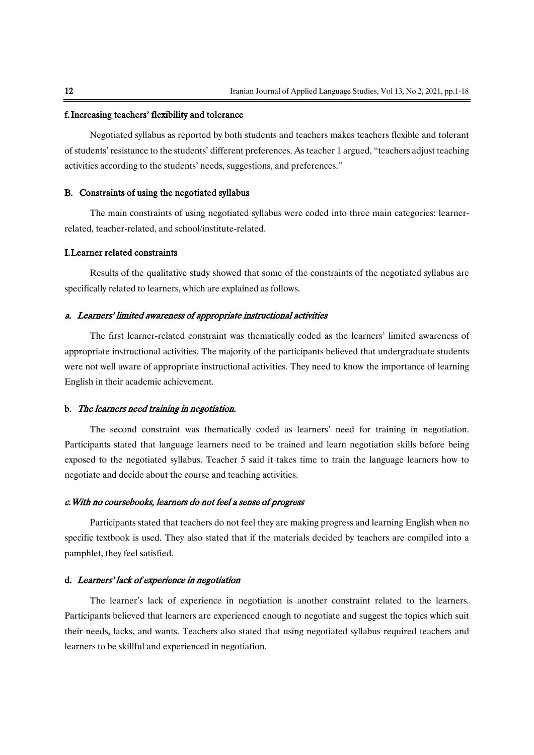#### f.Increasing teachers' flexibility and tolerance

Negotiated syllabus as reported by both students and teachers makes teachers flexible and tolerant of students' resistance to the students' different preferences. As teacher 1 argued, "teachers adjust teaching activities according to the students' needs, suggestions, and preferences."

#### B. Constraints of using the negotiated syllabus

The main constraints of using negotiated syllabus were coded into three main categories: learnerrelated, teacher-related, and school/institute-related.

#### I.Learner related constraints

Results of the qualitative study showed that some of the constraints of the negotiated syllabus are specifically related to learners, which are explained as follows.

#### a. Learners' limited awareness of appropriate instructional activities

The first learner-related constraint was thematically coded as the learners' limited awareness of appropriate instructional activities. The majority of the participants believed that undergraduate students were not well aware of appropriate instructional activities. They need to know the importance of learning English in their academic achievement.

#### b. The learners need training in negotiation.

The second constraint was thematically coded as learners' need for training in negotiation. Participants stated that language learners need to be trained and learn negotiation skills before being exposed to the negotiated syllabus. Teacher 5 said it takes time to train the language learners how to negotiate and decide about the course and teaching activities.

#### c.With no coursebooks, learners do not feel a sense of progress

Participants stated that teachers do not feel they are making progress and learning English when no specific textbook is used. They also stated that if the materials decided by teachers are compiled into a pamphlet, they feel satisfied.

#### d. Learners' lack of experience in negotiation

The learner's lack of experience in negotiation is another constraint related to the learners. Participants believed that learners are experienced enough to negotiate and suggest the topics which suit their needs, lacks, and wants. Teachers also stated that using negotiated syllabus required teachers and learners to be skillful and experienced in negotiation.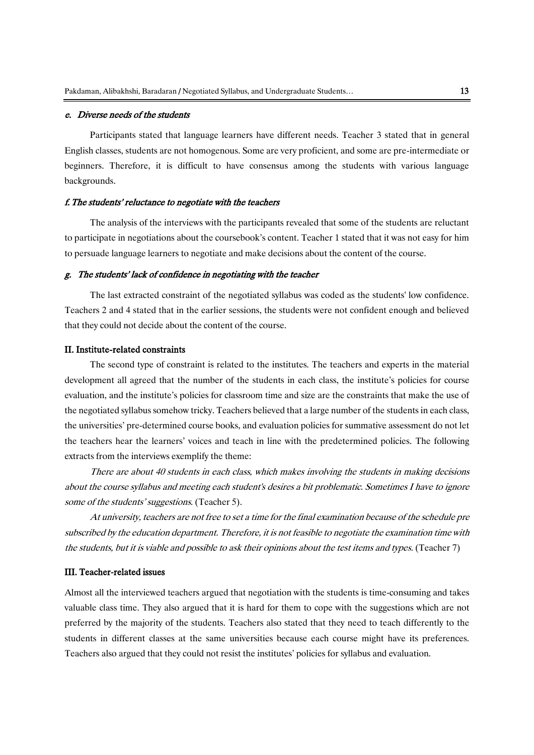#### e. Diverse needs of the students

Participants stated that language learners have different needs. Teacher 3 stated that in general English classes, students are not homogenous. Some are very proficient, and some are pre-intermediate or beginners. Therefore, it is difficult to have consensus among the students with various language backgrounds.

#### f.The students' reluctance to negotiate with the teachers

The analysis of the interviews with the participants revealed that some of the students are reluctant to participate in negotiations about the coursebook's content. Teacher 1 stated that it was not easy for him to persuade language learners to negotiate and make decisions about the content of the course.

#### g. The students' lack of confidence in negotiating with the teacher

The last extracted constraint of the negotiated syllabus was coded as the students' low confidence. Teachers 2 and 4 stated that in the earlier sessions, the students were not confident enough and believed that they could not decide about the content of the course.

#### II. Institute-related constraints

The second type of constraint is related to the institutes. The teachers and experts in the material development all agreed that the number of the students in each class, the institute's policies for course evaluation, and the institute's policies for classroom time and size are the constraints that make the use of the negotiated syllabus somehow tricky. Teachers believed that a large number of the students in each class, the universities' pre-determined course books, and evaluation policies for summative assessment do not let the teachers hear the learners' voices and teach in line with the predetermined policies. The following extracts from the interviews exemplify the theme:

There are about 40 students in each class, which makes involving the students in making decisions about the course syllabus and meeting each student's desires a bit problematic. Sometimes I have to ignore some of the students' suggestions. (Teacher 5).

At university, teachers are not free to set a time for the final examination because of the schedule pre subscribed by the education department. Therefore, it is not feasible to negotiate the examination time with the students, but it is viable and possible to ask their opinions about the test items and types. (Teacher 7)

#### III. Teacher-related issues

Almost all the interviewed teachers argued that negotiation with the students is time-consuming and takes valuable class time. They also argued that it is hard for them to cope with the suggestions which are not preferred by the majority of the students. Teachers also stated that they need to teach differently to the students in different classes at the same universities because each course might have its preferences. Teachers also argued that they could not resist the institutes' policies for syllabus and evaluation.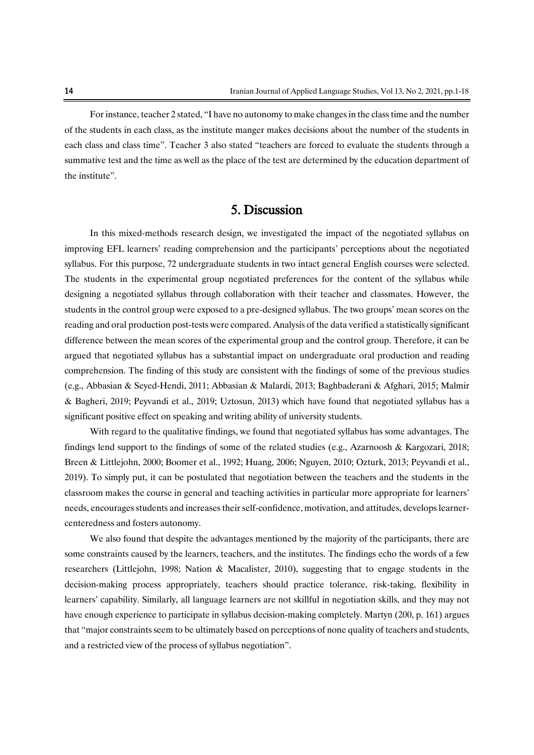For instance, teacher 2 stated, "I have no autonomy to make changes in the class time and the number of the students in each class, as the institute manger makes decisions about the number of the students in each class and class time". Teacher 3 also stated "teachers are forced to evaluate the students through a summative test and the time as well as the place of the test are determined by the education department of the institute".

# 5. Discussion

In this mixed-methods research design, we investigated the impact of the negotiated syllabus on improving EFL learners' reading comprehension and the participants' perceptions about the negotiated syllabus. For this purpose, 72 undergraduate students in two intact general English courses were selected. The students in the experimental group negotiated preferences for the content of the syllabus while designing a negotiated syllabus through collaboration with their teacher and classmates. However, the students in the control group were exposed to a pre-designed syllabus. The two groups' mean scores on the reading and oral production post-tests were compared. Analysis of the data verified a statistically significant difference between the mean scores of the experimental group and the control group. Therefore, it can be argued that negotiated syllabus has a substantial impact on undergraduate oral production and reading comprehension. The finding of this study are consistent with the findings of some of the previous studies (e.g., Abbasian & Seyed-Hendi, 2011; Abbasian & Malardi, 2013; Baghbaderani & Afghari, 2015; Malmir & Bagheri, 2019; Peyvandi et al., 2019; Uztosun, 2013) which have found that negotiated syllabus has a significant positive effect on speaking and writing ability of university students.

With regard to the qualitative findings, we found that negotiated syllabus has some advantages. The findings lend support to the findings of some of the related studies (e.g., Azarnoosh & Kargozari, 2018; Breen & Littlejohn, 2000; Boomer et al., 1992; Huang, 2006; Nguyen, 2010; Ozturk, 2013; Peyvandi et al., 2019). To simply put, it can be postulated that negotiation between the teachers and the students in the classroom makes the course in general and teaching activities in particular more appropriate for learners' needs, encourages students and increases their self-confidence, motivation, and attitudes, develops learnercenteredness and fosters autonomy.

We also found that despite the advantages mentioned by the majority of the participants, there are some constraints caused by the learners, teachers, and the institutes. The findings echo the words of a few researchers (Littlejohn, 1998; Nation & Macalister, 2010), suggesting that to engage students in the decision-making process appropriately, teachers should practice tolerance, risk-taking, flexibility in learners' capability. Similarly, all language learners are not skillful in negotiation skills, and they may not have enough experience to participate in syllabus decision-making completely. Martyn (200, p. 161) argues that "major constraints seem to be ultimately based on perceptions of none quality of teachers and students, and a restricted view of the process of syllabus negotiation".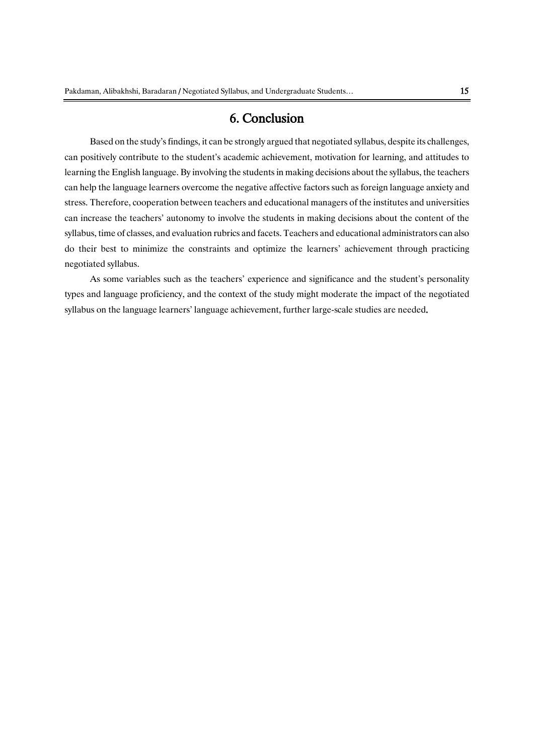# 6. Conclusion

Based on the study's findings, it can be strongly argued that negotiated syllabus, despite its challenges, can positively contribute to the student's academic achievement, motivation for learning, and attitudes to learning the English language. By involving the students in making decisions about the syllabus, the teachers can help the language learners overcome the negative affective factors such as foreign language anxiety and stress. Therefore, cooperation between teachers and educational managers of the institutes and universities can increase the teachers' autonomy to involve the students in making decisions about the content of the syllabus, time of classes, and evaluation rubrics and facets. Teachers and educational administrators can also do their best to minimize the constraints and optimize the learners' achievement through practicing negotiated syllabus.

As some variables such as the teachers' experience and significance and the student's personality types and language proficiency, and the context of the study might moderate the impact of the negotiated syllabus on the language learners' language achievement, further large-scale studies are needed.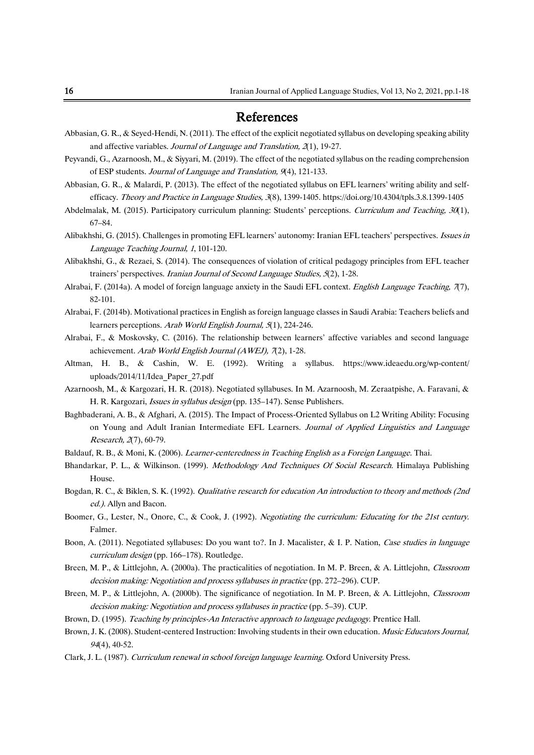# References

- Abbasian, G. R., & Seyed-Hendi, N. (2011). The effect of the explicit negotiated syllabus on developing speaking ability and affective variables. Journal of Language and Translation, 2(1), 19-27.
- Peyvandi, G., Azarnoosh, M., & Siyyari, M. (2019). The effect of the negotiated syllabus on the reading comprehension of ESP students. Journal of Language and Translation, 9(4), 121-133.
- Abbasian, G. R., & Malardi, P. (2013). The effect of the negotiated syllabus on EFL learners' writing ability and selfefficacy. Theory and Practice in Language Studies, 3(8), 1399-1405. https://doi.org/10.4304/tpls.3.8.1399-1405
- Abdelmalak, M. (2015). Participatory curriculum planning: Students' perceptions. Curriculum and Teaching, 30(1), 67–84.
- Alibakhshi, G. (2015). Challenges in promoting EFL learners' autonomy: Iranian EFL teachers' perspectives. Issues in Language Teaching Journal, 1, 101-120.
- Alibakhshi, G., & Rezaei, S. (2014). The consequences of violation of critical pedagogy principles from EFL teacher trainers' perspectives. Iranian Journal of Second Language Studies, 5(2), 1-28.
- Alrabai, F. (2014a). A model of foreign language anxiety in the Saudi EFL context. English Language Teaching,  $7(7)$ , 82-101.
- Alrabai, F. (2014b). Motivational practices in English as foreign language classes in Saudi Arabia: Teachers beliefs and learners perceptions. Arab World English Journal, 5(1), 224-246.
- Alrabai, F., & Moskovsky, C. (2016). The relationship between learners' affective variables and second language achievement. Arab World English Journal (AWEJ), 7(2), 1-28.
- Altman, H. B., & Cashin, W. E. (1992). Writing a syllabus. https://www.ideaedu.org/wp-content/ uploads/2014/11/Idea\_Paper\_27.pdf
- Azarnoosh, M., & Kargozari, H. R. (2018). Negotiated syllabuses. In M. Azarnoosh, M. Zeraatpishe, A. Faravani, & H. R. Kargozari, Issues in syllabus design (pp. 135–147). Sense Publishers.
- Baghbaderani, A. B., & Afghari, A. (2015). The Impact of Process-Oriented Syllabus on L2 Writing Ability: Focusing on Young and Adult Iranian Intermediate EFL Learners. Journal of Applied Linguistics and Language Research, 2(7), 60-79.
- Baldauf, R. B., & Moni, K. (2006). Learner-centeredness in Teaching English as a Foreign Language. Thai.
- Bhandarkar, P. L., & Wilkinson. (1999). Methodology And Techniques Of Social Research. Himalaya Publishing House.
- Bogdan, R. C., & Biklen, S. K. (1992). Qualitative research for education An introduction to theory and methods (2nd ed.). Allyn and Bacon.
- Boomer, G., Lester, N., Onore, C., & Cook, J. (1992). Negotiating the curriculum: Educating for the 21st century. Falmer.
- Boon, A. (2011). Negotiated syllabuses: Do you want to?. In J. Macalister, & I. P. Nation, Case studies in language curriculum design (pp. 166–178). Routledge.
- Breen, M. P., & Littlejohn, A. (2000a). The practicalities of negotiation. In M. P. Breen, & A. Littlejohn, Classroom decision making: Negotiation and process syllabuses in practice (pp. 272–296). CUP.
- Breen, M. P., & Littlejohn, A. (2000b). The significance of negotiation. In M. P. Breen, & A. Littlejohn, Classroom decision making: Negotiation and process syllabuses in practice (pp. 5–39). CUP.
- Brown, D. (1995). Teaching by principles-An Interactive approach to language pedagogy. Prentice Hall.
- Brown, J. K. (2008). Student-centered Instruction: Involving students in their own education. Music Educators Journal,  $94(4)$ , 40-52.
- Clark, J. L. (1987). Curriculum renewal in school foreign language learning. Oxford University Press.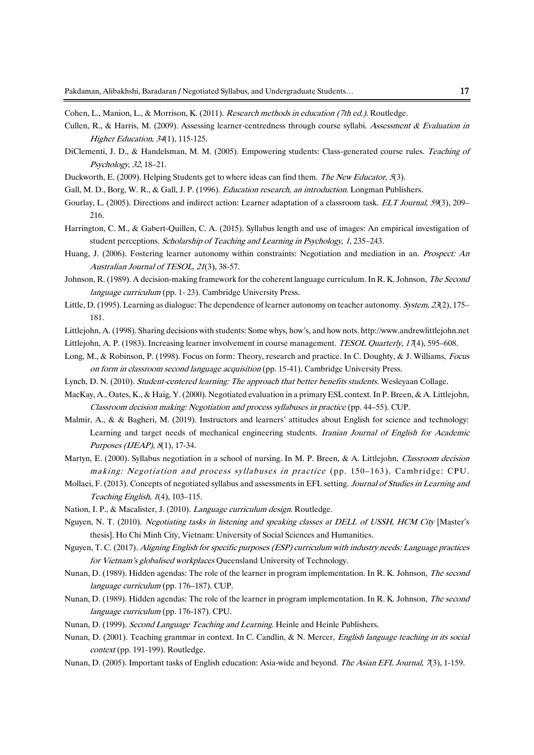Cohen, L., Manion, L., & Morrison, K. (2011). Research methods in education (7th ed.). Routledge.

- Cullen, R., & Harris, M. (2009). Assessing learner-centredness through course syllabi. Assessment & Evaluation in Higher Education, 34(1), 115-125.
- DiClementi, J. D., & Handelsman, M. M. (2005). Empowering students: Class-generated course rules. Teaching of Psychology, 32, 18–21.
- Duckworth, E. (2009). Helping Students get to where ideas can find them. The New Educator, 5(3).
- Gall, M. D., Borg, W. R., & Gall, J. P. (1996). Education research, an introduction. Longman Publishers.
- Gourlay, L. (2005). Directions and indirect action: Learner adaptation of a classroom task. ELT Journal, 59(3), 209– 216.
- Harrington, C. M., & Gabert-Quillen, C. A. (2015). Syllabus length and use of images: An empirical investigation of student perceptions. Scholarship of Teaching and Learning in Psychology, 1, 235–243.
- Huang, J. (2006). Fostering learner autonomy within constraints: Negotiation and mediation in an. *Prospect: An* Australian Journal of TESOL, 21(3), 38-57.
- Johnson, R. (1989). A decision-making framework for the coherent language curriculum. In R. K. Johnson, The Second language curriculum (pp. 1- 23). Cambridge University Press.
- Little, D. (1995). Learning as dialogue: The dependence of learner autonomy on teacher autonomy. System, 23(2), 175– 181.
- Littlejohn, A. (1998). Sharing decisions with students: Some whys, how's, and how nots. http://www.andrewlittlejohn.net
- Littlejohn, A. P. (1983). Increasing learner involvement in course management. *TESOL Quarterly, 17*(4), 595–608.
- Long, M., & Robinson, P. (1998). Focus on form: Theory, research and practice. In C. Doughty, & J. Williams, Focus on form in classroom second language acquisition (pp. 15-41). Cambridge University Press.
- Lynch, D. N. (2010). Student-centered learning: The approach that better benefits students. Wesleyaan Collage.
- MacKay, A., Oates, K., & Haig, Y. (2000). Negotiated evaluation in a primary ESL context. In P. Breen, & A. Littlejohn, Classroom decision making: Negotiation and process syllabuses in practice (pp. 44–55). CUP.
- Malmir, A., & & Bagheri, M. (2019). Instructors and learners' attitudes about English for science and technology: Learning and target needs of mechanical engineering students. Iranian Journal of English for Academic Purposes (IJEAP), 8(1), 17-34.
- Martyn, E. (2000). Syllabus negotiation in a school of nursing. In M. P. Breen, & A. Littlejohn, Classroom decision making: Negotiation and process syllabuses in practice (pp. 150–163). Cambridge: CPU.
- Mollaei, F. (2013). Concepts of negotiated syllabus and assessments in EFL setting. Journal of Studies in Learning and Teaching English, 1(4), 103–115.
- Nation, I. P., & Macalister, J. (2010). Language curriculum design. Routledge.
- Nguyen, N. T. (2010). Negotiating tasks in listening and speaking classes at DELL of USSH, HCM City [Master's thesis]. Ho Chi Minh City, Vietnam: University of Social Sciences and Humanities.
- Nguyen, T. C. (2017). Aligning English for specific purposes (ESP) curriculum with industry needs: Language practices for Vietnam's globalised workplaces Queensland University of Technology.
- Nunan, D. (1989). Hidden agendas: The role of the learner in program implementation. In R. K. Johnson, The second language curriculum (pp. 176–187). CUP.
- Nunan, D. (1989). Hidden agendas: The role of the learner in program implementation. In R. K. Johnson, *The second* language curriculum (pp. 176-187). CPU.
- Nunan, D. (1999). Second Language Teaching and Learning. Heinle and Heinle Publishers.
- Nunan, D. (2001). Teaching grammar in context. In C. Candlin, & N. Mercer, English language teaching in its social context (pp. 191-199). Routledge.
- Nunan, D. (2005). Important tasks of English education: Asia-wide and beyond. The Asian EFL Journal, 7(3), 1-159.